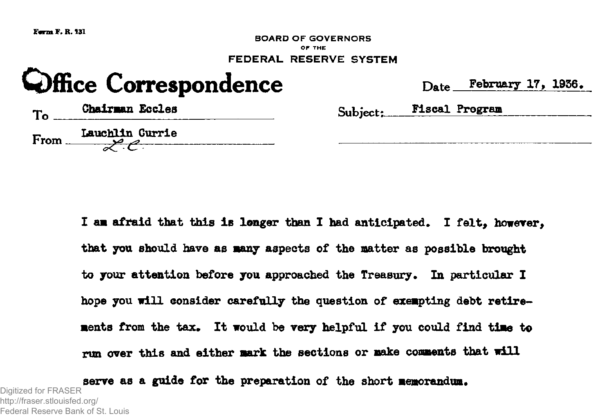

I am afraid that this is longer than I had anticipated. I felt, however, that you should have as many aspects of the matter as possible brought to your attention before you approached the Treasury. In particular I hope you will consider carefully the question of exempting debt retirements from the tax. It would be very helpful if you could find time to run over this and either aark the sections or make comments that will

serve as a guide for the preparation of the short memorandum. Digitized for FRASER http://fraser.stlouisfed.org/

Federal Reserve Bank of St. Louis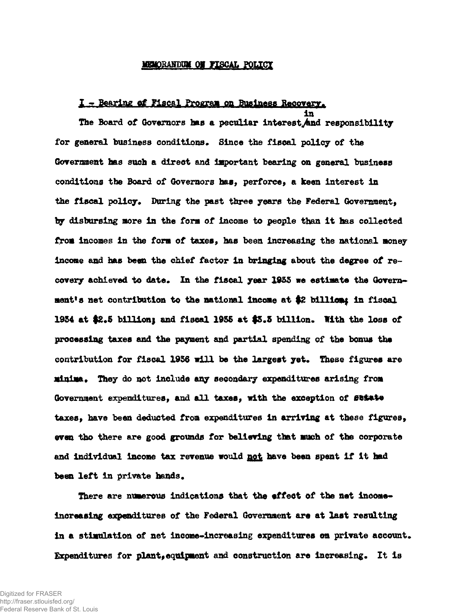#### **MEMORANDUM ON FISCAL POLICY**

## I - Bearing of Fiscal Program cm Business Recovery.

in

The Board of Governors has a peculiar interest And responsibility for general business conditions. Since the fiscal policy of the Government has such a direct and important bearing on general business conditions the Board of Governors has, perforce, a keen Interest In the fiscal policy. During the past three years the Federal Government, by disbursing more In the form of income to people than it has collected from Incomes In the form of taxes, has been Increasing the national money income and has been the chief factor In bringing about the degree of recovery achieved to date. In the fiscal year 1935 we estimate the Govern-\* ment's net contribution to the national income at \$2 billion; in fiscal 1954 at \$2.5 billion; and fiscal 1955 at \$3.5 billion. With the loss of processing taxes and the payment &nd partial spending of the bonus the contribution for fiscal 1956 mill be the largest yet. These figures are minima. They do not include any secondary expenditures arising from Government expenditures, and all taxes, with the exception of sustate taxes, have been deducted from expenditures In arriving at these figures, even tho there are good grounds for believing that much of the corporate and individual income tax revenue would not have been spent if it had been left in private hands.

There are numerous indications that the effect of the net income-Increasing expenditures of the Federal Government are at last resulting in a stimulation of net income-increasing expenditures on private account. Expenditures for plant,equipment and construction are Increasing. It Is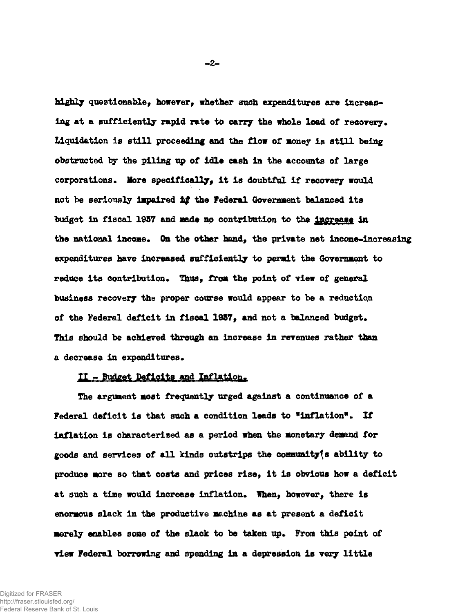highly questionable, however, whether sueh expenditures are Increasing at a sufficiently rapid rate to carry the whole load of recovery. Liquidation is still proceeding and the flow of money is still being obstructed toy the piling up of idle cash in the accounts of large corporations. More specifically, it is doubtful if recovery would not be seriously impaired ££ the Federal *Government* balanced its budget in fiscal 1957 and made no contribution to the increase in the national income. On the other hand, the private net income-increasing expenditures have increased sufficiently to permit the Government to reduce its contribution. Thus, from the point of view of general business recovery the proper course would appear to be a reduction of the Federal deficit in fiscal 1957, and not a balanced budget. This should be achieved through an increase in revenues rather than a decrease in expenditures.

## $II -$  Budget Deficits and Inflation.

The argument most frequently urged against a continuance of a Federal deficit is that such a condition leads to "inflation". If inflation is characterised as a period when the monetary demand for goods and services of all kinds outstrips the communityfs ability to produce more so that costs and prices rise, it is obvious how a deficit at such a time would increase inflation. When, however, there is enormous slack in the productive machine as at present a deficit merely enables some of the slack to be taken up. From this point of view Federal borrowing and spending in a depression is very little

 $-2-$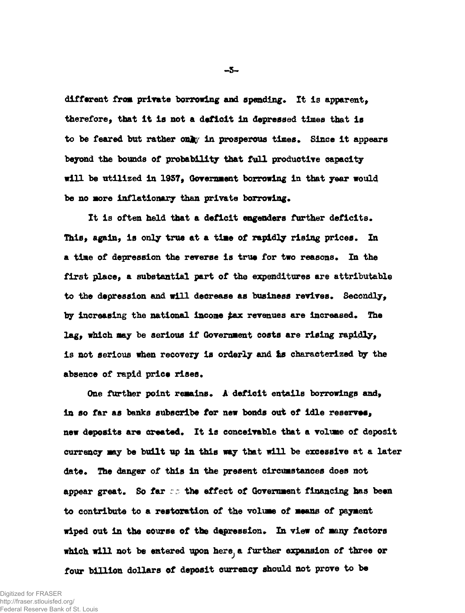different from private borrowing and spending. It is apparent, therefore, that it is not a deficit in depressed times that is to be feared but rather only in prosperous times. Since it appears beyond the bounds of probability that full productive capacity will be utilized in 1957, Government borrowing in that year would be no more inflationary than private borrowing.

It is often held that a deficit engenders further deficits. This, again, is only true at a time of rapidly rising prices. In a time of depression the reverse is true for two reasons. In the first place, a substantial part of the expenditures are attributable to the depression and will decrease as business revives. Secondly, by increasing the national income tax revenues are increased. The lag, which may be serious if Government costs are rising rapidly, is not serious when recovery is orderly and Is characterized by the absence of rapid price rises.

One further point remains. A deficit entails borrowings and, in so far as banks subscribe for new bonds out of idle reserves, new deposits are created. It is conceivable that a volume of deposit currency may be built up in this way that will be excessive at a later date. The danger of this in the present circumstances does not appear great. So far  $\epsilon$  the effect of Government financing has been to contribute to a restoration of the volume of means of payment wiped out in the course of the depression. In view of many factors which will not be entered upon here, a further expansion of three or four billion dollars of deposit currency should not prove to be

**-3-**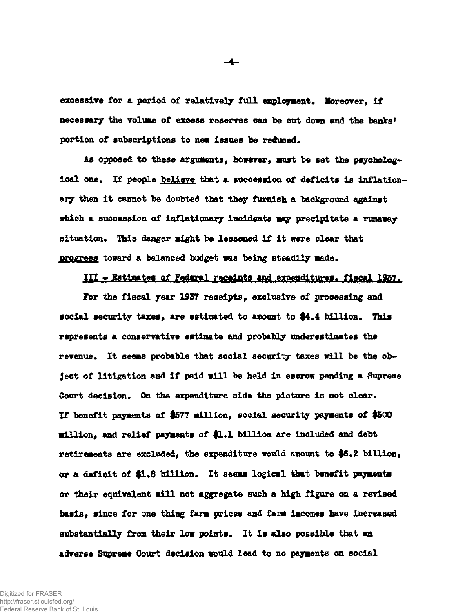excessive for a period of relatively full employment. Moreover, if necessary the volume of excess reserves can be cut down and the banks' portion of subscriptions to new Issues be reduced.

As opposed to these arguments, however, must be set the psychologleal one. If people believe that a succession of deficits is inflationary then it cannot be doubted that they furnish a background against which a succession of inflationary incidents may precipitate a runaway situation. This danger might be lessened if it were clear that progress toward a balanced budget was being steadily made.

# III - Estimates of Federal receipts and expenditures. fiscal 1957.

For the fiscal year 1937 receipts, exclusive of processing and social security taxes, are estimated to amount to \$4.4 billion. This represents a conservative estimate and probably underestimates the revenue. It seems probable that social security taxes will be the object of litigation and if paid will be held in escrow pending a Supreme Court decision. On the expenditure side the picture Is not clear. If benefit payments of \$577 million, social security payments of #600 million, and relief payments of \$1.1 billion are included and debt retirements are excluded, the expenditure would amount to \$6.2 billion, or a deficit of \$1.8 billion. It seems logical that benefit payments or their equivalent will not aggregate such a high figure on a revised basis, since for one thing farm prices and farm incomes have increased substantially from their low points. It is also possible that an adverse Supreae Court decision would lead to no payments on social

-4-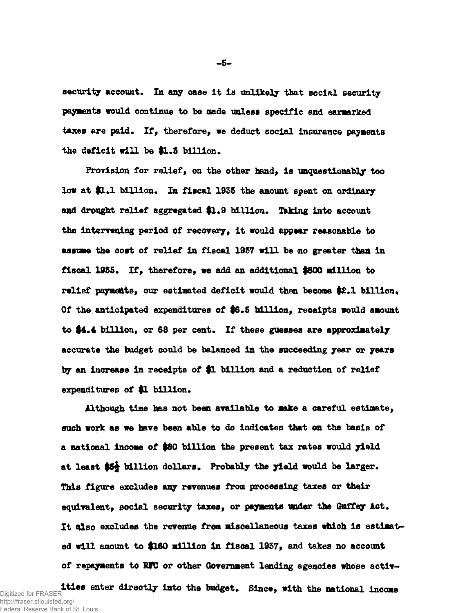security account. In any case it is unlikely that social security payments would continue to be made unless specific and earmarked taxes are paid. If, therefore, we deduct social insurance payments the deficit will be \$1.3 billion.

Provision for relief, on the other hand, is unquestionably too low at \$1.1 billion. In fiscal 1935 the amount spent on ordinary and drought relief aggregated \$1.9 billion. Taking into account the intervening period of recovery, it would appear reasonable to asstrae the cost of relief in fiscal 1957 will be no greater than in fiscal 1955. If, therefore, we add an additional \$800 million to relief payments, our estimated deficit would then become \$2.1 billion. Of the anticipated expenditures of \$6.5 billion, receipts would amount to  $4.4$  billion, or 68 per cent. If these guesses are approximately accurate the budget could be balanced In the succeeding year or years by an increase in receipts of \$1 billion and a reduction of relief expenditures of \$1 billion.

Although time has not been available to make a careful estimate, such work as we have been able to do indicates that on the basis of a national income of \$80 billion the present tax rates would yield at least \$5§ billion dollars. Probably the yield would be larger. This figure excludes any revenues *from* processing taxes or their equivalent, social security taxes, or payments under the Guffey Act. It also excludes the revenue from miscellaneous taxes which is estimated will amount to \$160 million in fiscal 1957, and takes no account of repayments to HFC or other Government lending agencies whose activ-

ities enter directly into the budget. Since, with the national income Digitized for FRASER http://fraser.stlouisfed.org/ Federal Reserve Bank of St. Louis

**-5-**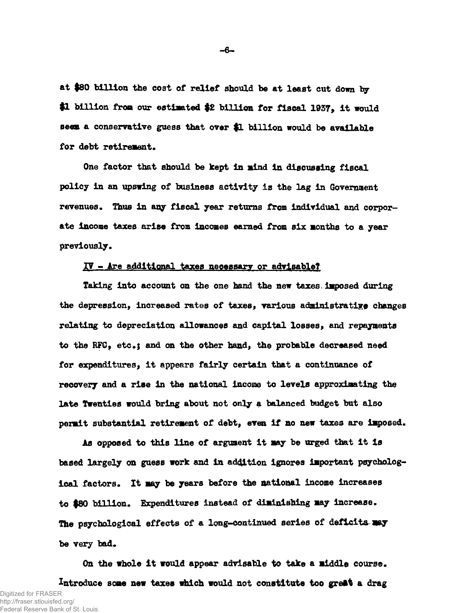at #80 billion the cost of relief should be at least cut down by \$1 billion from our estimated \$2 billion for fiscal 1937, it would seen a conservative guess that over \$1 billion would be available for debt retirement.

One factor that should be kept in mind in discussing fiscal policy in an upswing of business activity is the lag in Government revenues. Thus in any fiscal year returns from individual and corporate income taxes arise from Incomes earned from six months to a year previously.

# IV - Are additional taxes necessary or advisable?

Taking into account on the one hand the new taxes imposed during the depression, increased rates of taxes, various administrative changes relating to depreciation allowances and capital losses, and repayments to the RFC, etc.; and on the other hand, the probable decreased need for expenditures, it appears fairly certain that a continuance of recovery and a rise in the national income to levels approximating the late Twenties would bring about not only a balanced budget but also permit substantial retirement of debt, even if no new taxes are imposed.

As opposed to this line of argument it may be urged that It is based largely on guess work and in addition Ignores important psychological factors. It may be years before the national income increases to \$80 billion. Expenditures instead of diminishing may increase. The psychological effects of a long-continued series of deficits may be very bad.

On the whole it would appear advisable to take a middle course. Introduce some new taxes which would not constitute too great a drag Digitized for FRASER http://fraser.stlouisfed.org/ Federal Reserve Bank of St. Louis

**-6-**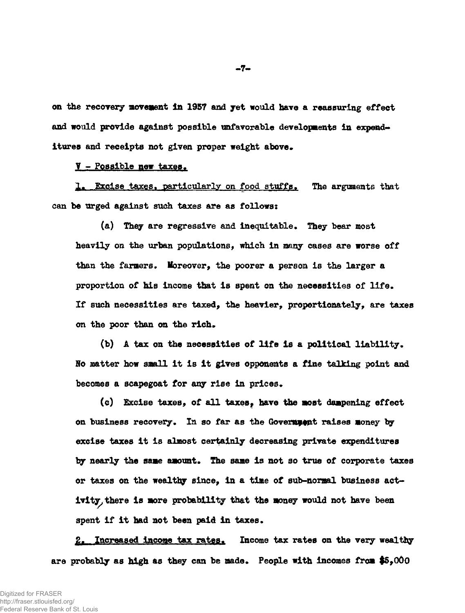on the recovery movement In 1957 and yet would have a reassuring effect and would provide against possible unfavorable developments in expenditures and receipts not given proper weight above.

## V - Possible new taxes.

1. Excise taxes, particularly on food stuffs. The arguments that can be urged against such taxes are as follows:

(a) They are regressive and inequitable. They bear most heavily on the urban populations, which in many cases are worse off than the farmers. Moreover, the poorer a person is the larger a proportion of his income that is spent on the necessities of life. If such necessities are taxed, the heavier, proportionately, are taxes on the poor than on the rich.

(b) A tax on the necessities of life Is a political liability. No matter how small it is It gives opponents a fine talking point and becomes a scapegoat for any rise in prices.

(c) Excise taxes, of all taxes, have the most dampening effect on business recovery. In so far as the Governument raises money by excise taxes It is almost certainly decreasing private expenditures by nearly the same amount. The same is not so true of corporate taxes or taxes on the wealthy since, in a time of sub-normal business act-\* ivity, there is more probability that the money would not have been spent if it had not been paid in taxes.

2. Increased income tax rates. Income tax rates on the very wealthy are probably as high as they can be made. People with Incomes from \$5,000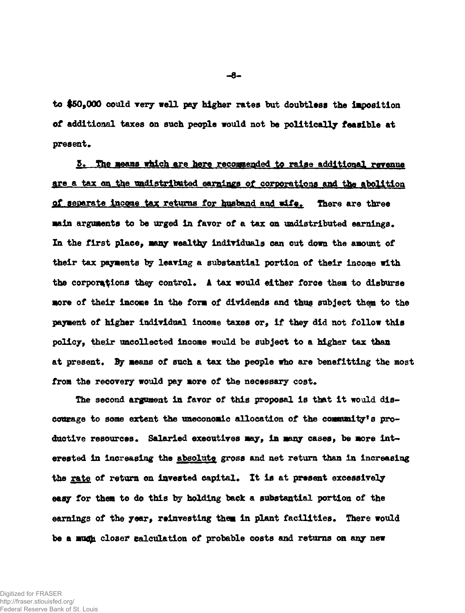to \$50,000 could very well pay higher rates but doubtless the Imposition of additional taxes on such people would not be politically feasible at present.

S» The means which are here recommended to raise additional revenue are a tax on the undistributed earnings of corporations and the abolition of separate income tax returns for husband and wife. There are three main arguments to be urged in favor of a tax on undistributed earnings. In the first place, many wealthy individuals can cut down the amount of their tax payments by leaving a substantial portion of their income with the corporations they control. A tax would either force them to disburse more of their income in the form of dividends and thus subject thep to the payment of higher individual income taxes or, If they did not follow this policy, their uncollected income would be subject to a higher tax than at present. By means of such a tax the people who are benefitting the most from the recovery would pay more of the necessary cost.

The second argument in favor of this proposal Is that it would discourage to some extent the uneconomic allocation of the community's productive resources. Salaried executives may, in many cases, be more interested in increasing the absolute gross and net return than in increasing the <u>rate</u> of return on invested capital. It is at present excessively easy for them to do this by holding back a substantial portion of the earnings of the year, reinvesting them in plant facilities. There would be a mudh closer calculation of probable costs and returns on any new

**-8-**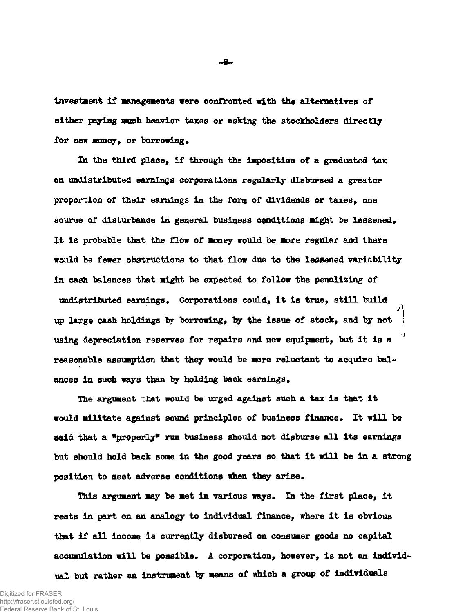investment if managements were confronted with the alternatives of either paying much heavier taxes or asking the stockholders directly for new money, or borrowing.

In the third place, if through the imposition of a graduated tax on undistributed earnings corporations regularly disbursed a greater proportion of their earnings in the form of dividends or taxes, one source of disturbance in general business conditions might be lessened. It Is probable that the flow of money would be more regular and there would be fewer obstructions to that flow due to the lessened variability in cash balances that might be expected to follow the penalizing of undistributed earnings. Corporations could, it is true, still build up large cash holdings by borrowing, by the issue of stock, and by not using depreciation reserves for repairs and new equipment, but it is a  $<sup>4</sup>$ </sup> reasonable assumption that they would be more reluctant to acquire balances in such ways than by holding back earnings.

The argument that would be urged against such a tax is that it would militate against sound principles of business finance. It will be said that a \*properly\* run business should not disburse all its earnings but should hold back some in the good years so that it will be in a strong position to meet adverse conditions when they arise.

This argument may be met in various ways. In the first place, it rests in part on an analogy to individual finance, where it is obvious that if all income is currently disbursed on consumer goods no capital accumulation will be possible. A corporation, however, is not an individual but rather an instrument by means of which a group of individuals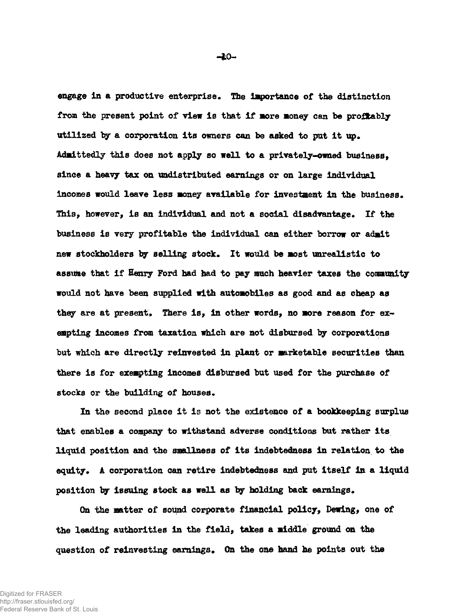engage In a productive enterprise. The importance of the distinction from the present point of view is that if more money can be profitably utilized by a corporation its owners can be asked to put it up. Admittedly this does not apply so well to a privately-owned business, since a heavy tax on undistributed earnings or on large individual incomes would leave less money available for investment in the business. This, however, is an Individual and not a social disadvantage. If the business is very profitable the individual can either borrow or admit new stockholders by selling stock. It would be most unrealistic to assume that if Henry Ford had had to pay much heavier taxes the community would not have been supplied with automobiles as good and as cheap as they are at present. There is, In other words, no more reason for exempting Incomes from taxation which are not disbursed by corporations but which are directly reinvested in plant or marketable securities than there is for exempting incomes disbursed but used for the purchase of stocks or the building of houses.

In the second place it is not the existence of a bookkeeping surplus that enables a company to withstand adverse conditions but rather its liquid position and the smallness of its indebtedness in relation to the equity. A corporation can retire indebtedness and put itself in a liquid position by Issuing stock as well as by holding back earnings.

On the matter of sound corporate financial policy, Dewing, one of the leading authorities in the field, takes a middle ground on the question of reinvesting earnings. On the one hand he points out the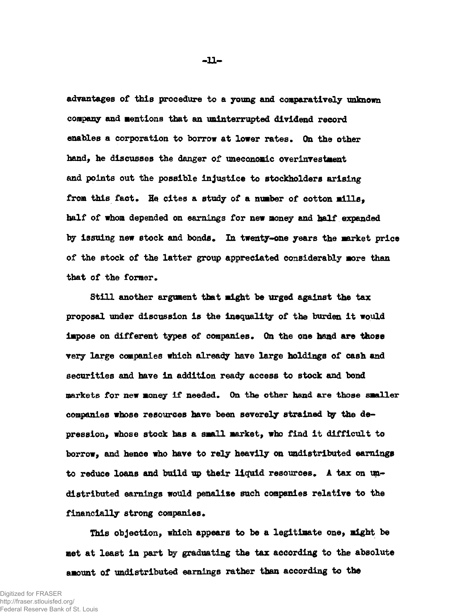advantages of this procedure to a young and comparatively unknown company and mentions that an uninterrupted dividend record enables a corporation to borrow at lower rates. On the other hand, he discusses the danger of uneconomic overinvestment and points out the possible injustice to stockholders arising from this fact. He cites a study of a number of cotton mills. half of whom depended on earnings for new money and half expanded by issuing new stock and bonds. In twenty-one years the market price of the stock of the latter group appreciated considerably more than that of the former.

Still another argument that might be urged against the tax proposal under discussion is the inequality of the burden it would impose on different types of companies. On the one hand are those very large companies which already have large holdings of cash and securities and have In addition ready access to stock and bond markets for new money if needed. On the other hand are those smaller companies whose resources have been severely strained by the depression, whose stock has a small market, who find it difficult to borrow, and hence who have to rely heavily on undistributed earnings to reduce loans and build up their liquid resources. A tax on undistributed earnings would penalise such companies relative to the financially strong companies.

This objection, which appears to be a legitimate one, might be met at least in part by graduating the tax according to the absolute amount of undistributed earnings rather than according to the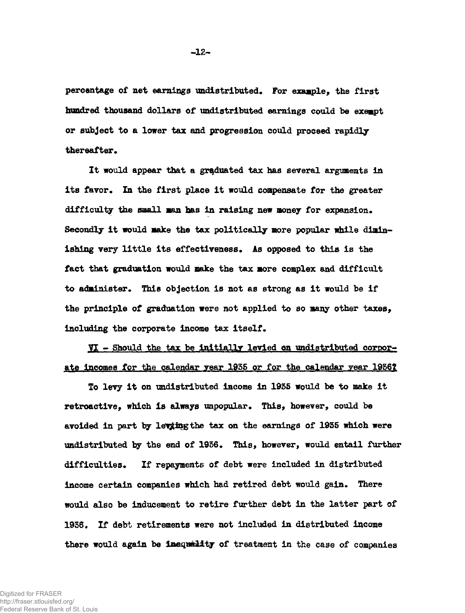percentage of net earnings undistributed. For example, the first hundred thousand dollars of undistributed earnings could be exempt or subject to a lover tax and progression could proceed rapidly thereafter.

It would appear that a graduated tax has several arguments in its favor. In the first place it would compensate for the greater difficulty the small man has in raising new money for expansion. Secondly it would make the tax politically more popular while diminishing very little its effectiveness. As opposed to this is the fact that graduation would make the tax more complex and difficult to administer. This objection is not as strong as it would be if the principle of graduation were not applied to so many other taxes, including the corporate income tax itself.

VI - Should the tax be initially levied on undistributed corporate incomes for the calendar year 1935 or for the calendar year 1936?

To levy it on undistributed income in 1935 would be to make it retroactive, which Is always unpopular. This, however, could be avoided in part by leving the tax on the earnings of 1935 which were undistributed by the end of 1936. This, however, would entail further difficulties. If repayments of debt were included in distributed income certain companies which had retired debt would gain. There would also be inducement to retire further debt in the latter part of 1936. If debt retirements were not included in distributed income there would again be inequality of treatment in the case of companies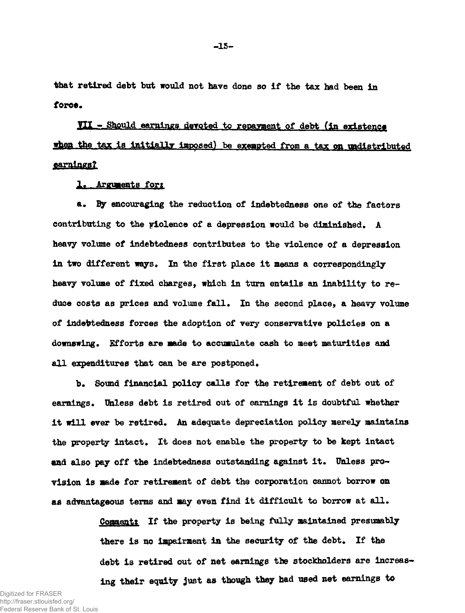that retired debt but would not have done so if the tax had been in force.

Til - Should earnings devoted to repayment of debt (in existence when the tax is initially imposed) be exempted from a tax on undistributed <u>earnings?</u>

# 1. Arguments fort

a. By encouraging the reduction of indebtedness one of the factors contributing to the violence of a depression would be diminished. A heavy volume of indebtedness contributes to the violence of a depression in two different ways. In the first place it means a correspondingly heavy volume of fixed charges, which in turn entails an inability to reduce costs as prices and volume fall. In the second place, a heavy volume of indebtedness forces the adoption of very conservative policies on a downswing. Efforts are made to accumulate cash to meet maturities and all expenditures that can be are postponed.

b. Sound financial policy calls for the retirement of debt out of earnings. Unless debt is retired out of earnings it is doubtful whether it will ever be retired. An adequate depreciation policy merely maintains the property intact. It does not enable the property to be kept intact and also pay off the indebtedness outstanding against it. Unless provision is made for retirement of debt the corporation cannot borrow on as advantageous terms and may even find it difficult to borrow at all.

> Comment: If the property is being fully maintained presumably there is no impairment in the security of the debt. If the debt is retired out of net earnings the stockholders are increasing their equity just as though they had used net earnings to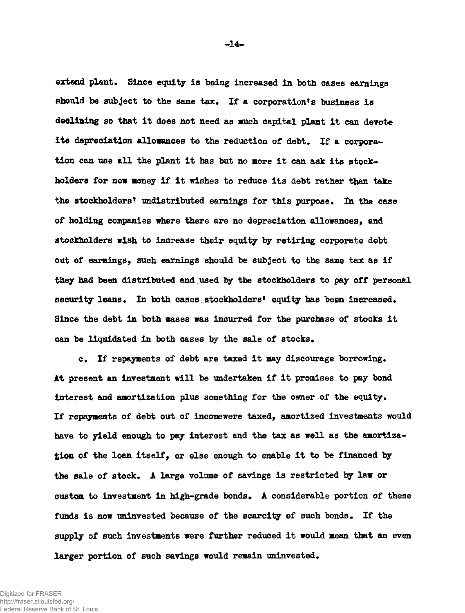extend plant. Since equity is being increased in both cases earnings should be subject to the same tax. If a corporation's business is declining so that it does not need as much capital plant it can devote its depreciation allowances to the reduction of debt. If a corporation can use all the plant it has but no more it can ask its stockholders for new money If it wishes to reduce its debt rather than take the stockholders' undistributed earnings for this purpose. In the case of holding companies where there are no depreciation allowances, and stockholders wish to increase their equity by retiring corporate debt out of earnings, such earnings should be subject to the same tax as if they had been distributed and used by the stockholders to pay off personal security loans. In both cases stockholders' equity has been increased. Since the debt in both eases was incurred for the purchase of stocks it can be liquidated in both cases by the sale of stocks.

c. If repayments of debt are taxed it may discourage borrowing. At present an investment will be undertaken if it promises to pay bond interest and amortization plus something for the owner of the equity. If repayments of debt out of incomewere taxed, amortized investments would have to yield enough to pay interest and the tax as well as the amortization of the loan itself, or else enough to enable it to be financed by the sale of stock. A large volume of savings is restricted by law or custom to investment in high-grade bonds. A considerable portion of these funds is now uninvested because of the scarcity of such bonds. If the supply of such investments were further reduced it would mean that an even larger portion of such savings would remain uninvested.

Digitized for FRASER http://fraser.stlouisfed.org/ Federal Reserve Bank of St. Louis **•14\*\***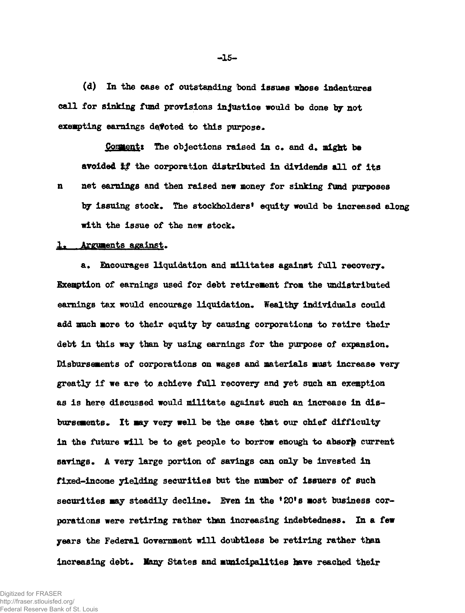(d) In the ease of outstanding bond issues whose indentures call for sinking fund provisions injustice would be done *by* not exempting earnings devoted to this purpose.

Comment: The objections raised in c. and d. might be avoided if the corporation distributed in dividends all of its n net earnings and then raised new money for sinking fund purposes by issuing stock. The stockholders' equity would be increased along with the issue of the new stock.

#### 1. Arguments against.

a. Encourages liquidation and militates against full recovery. Exemption of earnings used for debt retirement from the undistributed earnings tax would encourage liquidation. Wealthy individuals could add much more to their equity by causing corporations to retire their debt in this way than by using earnings for the purpose of expansion. Disbursements of corporations on wages and materials must increase very greatly if we are to achieve full recovery and yet such an exemption as is here discussed would militate against such an increase in disbursements. It may very well be the case that our chief difficulty in the future will be to get people to borrow enough to absorp current savings. A very large portion of savings can only be invested in fixed-income yielding securities but the number of issuers of such securities may steadily decline. Even in the '20's most business corporations were retiring rather than increasing indebtedness. In a few years the Federal Government will doubtless be retiring rather than increasing debt. Many States and municipalities have reached their

**-15-**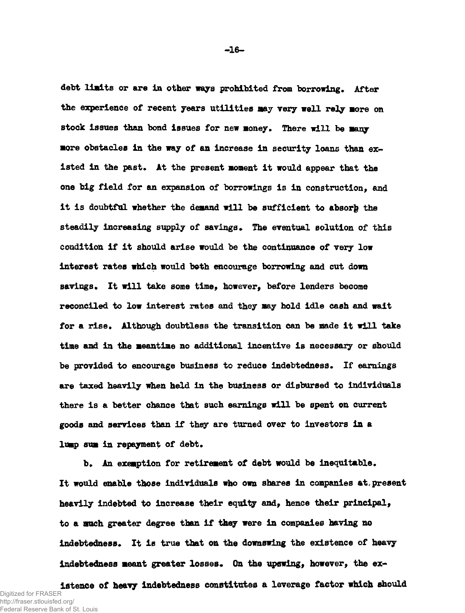debt limits or are in other ways prohibited from borrowing. After the experience of recent years utilities may very well rely more on stock issues than bond issues for new money. There will be many more obstacles in the way of an increase in security loans than existed in the past. At the present moment it would appear that the one big field for an expansion of borrowings is in construction, and it is doubtful whether the demand will be sufficient to absorb the steadily increasing supply of savings. The eventual solution of this condition if it should arise would be the continuance of very low interest rates which would both encourage borrowing and cut down savings. It will take some time, however, before lenders become reconciled to low Interest rates and they may hold idle cash and wait for a rise. Although doubtless the transition can be made it will take time and in the meantime no additional incentive is necessary or should be provided to encourage business to reduce indebtedness. If earnings are taxed heavily when held in the business or disbursed to individuals there is a better chance that such earnings will be spent on current goods and services than if they are turned over to investors in a lump sum in repayment of debt.

b. An exemption for retirement of debt would be inequitable. It would enable those individuals who own shares in companies at, present heavily indebted to increase their equity and, hence their principal, to a much greater degree than if thgy were in companies having no indebtedness. It is true that on the downswing the existence of heavy Indebtedness meant greater losses. On the upswing, however, the ex-

istence of heavy Indebtedness constitutes a leverage factor which should Digitized for FRASER http://fraser.stlouisfed.org/ Federal Reserve Bank of St. Louis

**-16-**